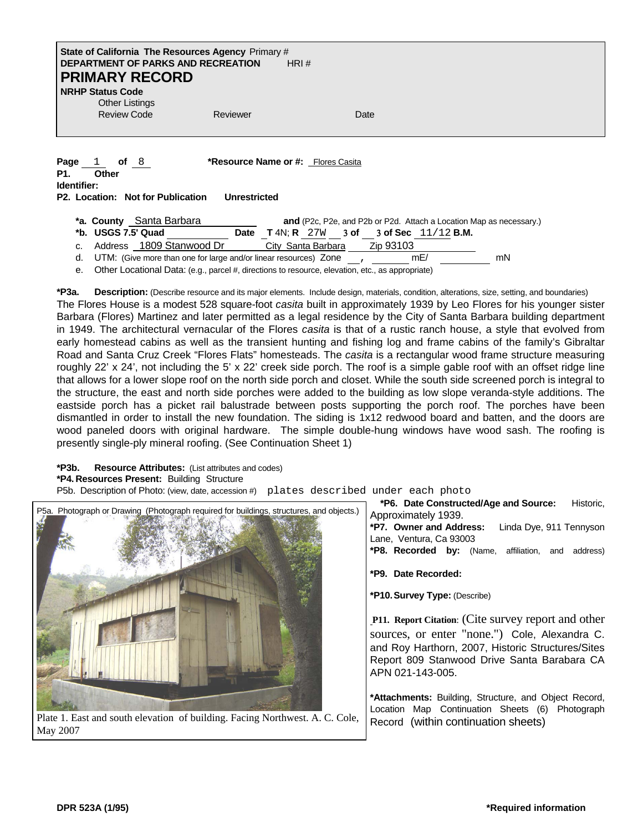## **State of California The Resources Agency** Primary # **DEPARTMENT OF PARKS AND RECREATION** HRI # **PRIMARY RECORD**

**NRHP Status Code** Other Listings

Review Code **Reviewer** Reviewer **Date** 

**Page** 1 of 8 **\*Resource Name or #:** Flores Casita **P1. Other** 

**Identifier:**

**P2. Location: Not for Publication Unrestricted** 

| *a. County Santa Barbara                                                              |             |                    | and (P2c, P2e, and P2b or P2d. Attach a Location Map as necessary.) |  |           |                                                 |    |
|---------------------------------------------------------------------------------------|-------------|--------------------|---------------------------------------------------------------------|--|-----------|-------------------------------------------------|----|
| *b. USGS 7.5' Quad                                                                    | <b>Date</b> |                    |                                                                     |  |           | <b>T</b> 4N; R $27W$ 3 of 3 of Sec $11/12$ B.M. |    |
| c. Address 1809 Stanwood Dr                                                           |             | City Santa Barbara |                                                                     |  | Zip 93103 |                                                 |    |
| d. $UTM$ : (Give more than one for large and/or linear resources) Zone $\blacksquare$ |             |                    |                                                                     |  |           | mE/                                             | mN |
|                                                                                       |             |                    |                                                                     |  |           |                                                 |    |

e. Other Locational Data: (e.g., parcel #, directions to resource, elevation, etc., as appropriate)

**\*P3a. Description:** (Describe resource and its major elements. Include design, materials, condition, alterations, size, setting, and boundaries) The Flores House is a modest 528 square-foot *casita* built in approximately 1939 by Leo Flores for his younger sister Barbara (Flores) Martinez and later permitted as a legal residence by the City of Santa Barbara building department in 1949. The architectural vernacular of the Flores *casita* is that of a rustic ranch house, a style that evolved from early homestead cabins as well as the transient hunting and fishing log and frame cabins of the family's Gibraltar Road and Santa Cruz Creek "Flores Flats" homesteads. The *casita* is a rectangular wood frame structure measuring roughly 22' x 24', not including the 5' x 22' creek side porch. The roof is a simple gable roof with an offset ridge line that allows for a lower slope roof on the north side porch and closet. While the south side screened porch is integral to the structure, the east and north side porches were added to the building as low slope veranda-style additions. The eastside porch has a picket rail balustrade between posts supporting the porch roof. The porches have been dismantled in order to install the new foundation. The siding is 1x12 redwood board and batten, and the doors are wood paneled doors with original hardware. The simple double-hung windows have wood sash. The roofing is presently single-ply mineral roofing. (See Continuation Sheet 1)

**\*P3b. Resource Attributes:** (List attributes and codes)

**\*P4. Resources Present:** Building Structure

P5b. Description of Photo: (view, date, accession #) plates described under each photo



Plate 1. East and south elevation of building. Facing Northwest. A. C. Cole, Record (within continuation sheets) May 2007

**\*P6. Date Constructed/Age and Source:** Historic,

**\*P7. Owner and Address:** Linda Dye, 911 Tennyson Lane, Ventura, Ca 93003

**\*P8. Recorded by:** (Name, affiliation, and address)

**\*P9. Date Recorded:**

**\*P10. Survey Type:** (Describe)

**P11. Report Citation**: (Cite survey report and other sources, or enter "none.") Cole, Alexandra C. and Roy Harthorn, 2007, Historic Structures/Sites Report 809 Stanwood Drive Santa Barabara CA APN 021-143-005.

**\*Attachments:** Building, Structure, and Object Record, Location Map Continuation Sheets (6) Photograph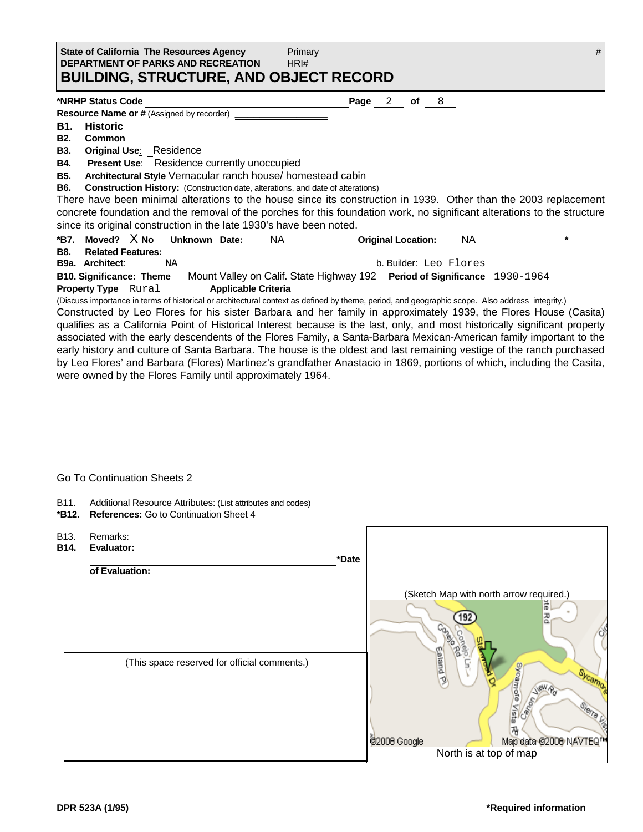| State of California The Resources Agency      | Primary |  |
|-----------------------------------------------|---------|--|
| <b>DEPARTMENT OF PARKS AND RECREATION</b>     | HRI#    |  |
| <b>BUILDING, STRUCTURE, AND OBJECT RECORD</b> |         |  |

#### **\*NRHP Status Code Page** 2 **of** 8

**Resource Name or # (Assigned by recorder)** 

- **B1. Historic**
- **B2. Common**
- **B3. Original Use**: Residence
- **B4. Present Use**: Residence currently unoccupied

**B5. Architectural Style** Vernacular ranch house/ homestead cabin

**B6. Construction History:** (Construction date, alterations, and date of alterations)

There have been minimal alterations to the house since its construction in 1939. Other than the 2003 replacement concrete foundation and the removal of the porches for this foundation work, no significant alterations to the structure since its original construction in the late 1930's have been noted.

**\*B7. Moved?** X **No Unknown Date:** NA **Original Location:** NA **\*** 

**B8. Related Features:**

**B9a. Architect**: NA b. Builder: Leo Flores **B10. Significance: Theme** Mount Valley on Calif. State Highway 192 **Period of Significance** 1930-1964 **Property Type** Rural **Applicable Criteria** 

(Discuss importance in terms of historical or architectural context as defined by theme, period, and geographic scope. Also address integrity.) Constructed by Leo Flores for his sister Barbara and her family in approximately 1939, the Flores House (Casita) qualifies as a California Point of Historical Interest because is the last, only, and most historically significant property associated with the early descendents of the Flores Family, a Santa-Barbara Mexican-American family important to the early history and culture of Santa Barbara. The house is the oldest and last remaining vestige of the ranch purchased by Leo Flores' and Barbara (Flores) Martinez's grandfather Anastacio in 1869, portions of which, including the Casita, were owned by the Flores Family until approximately 1964.

## Go To Continuation Sheets 2

- B11. Additional Resource Attributes: (List attributes and codes)
- **\*B12. References:** Go to Continuation Sheet 4
- B13. Remarks: **B14. Evaluator:** *\*Date* **\*Date of Evaluation:**  [\(Sketch Map with north arrow required.\)](http://maps.google.com/maps?hl=en&q=1809+Stanwood+Drive+Santa+Barbara+Ca+93103&safe=active&um=1&ie=UTF-8&sa=X&oi=geocode_result&resnum=1&ct=image) (This space reserved for official comments.) Sycamore Vista ew 짂 @2008 Google Map data @2008 NAVTEQ North is at top of map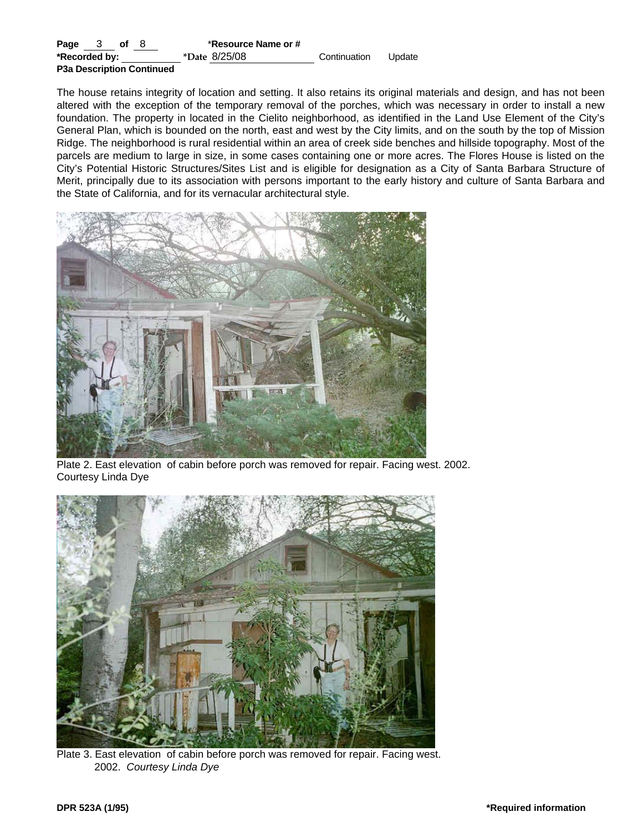| Page $3$ of $8$                  | *Resource Name or # |              |        |
|----------------------------------|---------------------|--------------|--------|
| *Recorded by:                    | *Date 8/25/08       | Continuation | Update |
| <b>P3a Description Continued</b> |                     |              |        |

The house retains integrity of location and setting. It also retains its original materials and design, and has not been altered with the exception of the temporary removal of the porches, which was necessary in order to install a new foundation. The property in located in the Cielito neighborhood, as identified in the Land Use Element of the City's General Plan, which is bounded on the north, east and west by the City limits, and on the south by the top of Mission Ridge. The neighborhood is rural residential within an area of creek side benches and hillside topography. Most of the parcels are medium to large in size, in some cases containing one or more acres. The Flores House is listed on the City's Potential Historic Structures/Sites List and is eligible for designation as a City of Santa Barbara Structure of Merit, principally due to its association with persons important to the early history and culture of Santa Barbara and the State of California, and for its vernacular architectural style.



Plate 2. East elevation of cabin before porch was removed for repair. Facing west. 2002. Courtesy Linda Dye



Plate 3. East elevation of cabin before porch was removed for repair. Facing west. 2002. *Courtesy Linda Dye*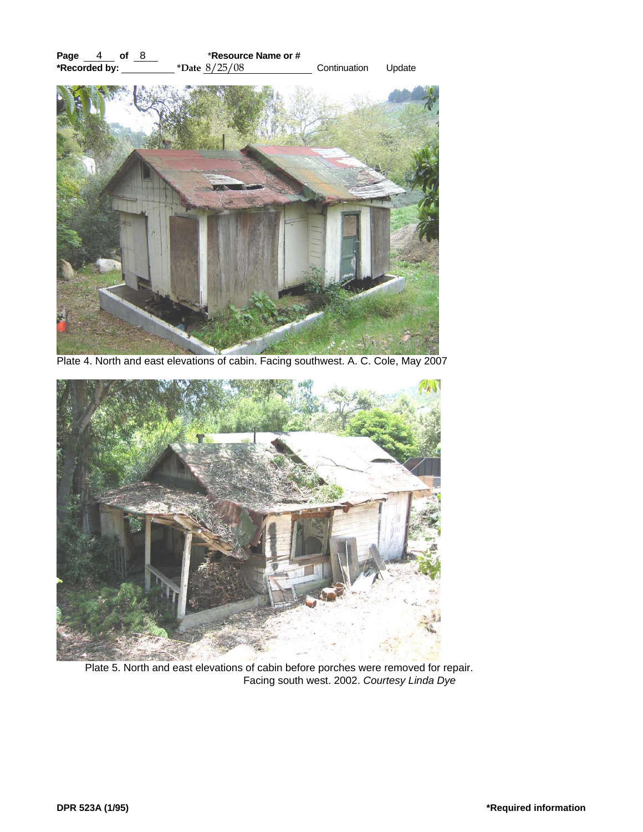

Plate 4. North and east elevations of cabin. Facing southwest. A. C. Cole, May 2007



Plate 5. North and east elevations of cabin before porches were removed for repair. Facing south west. 2002. *Courtesy Linda Dye*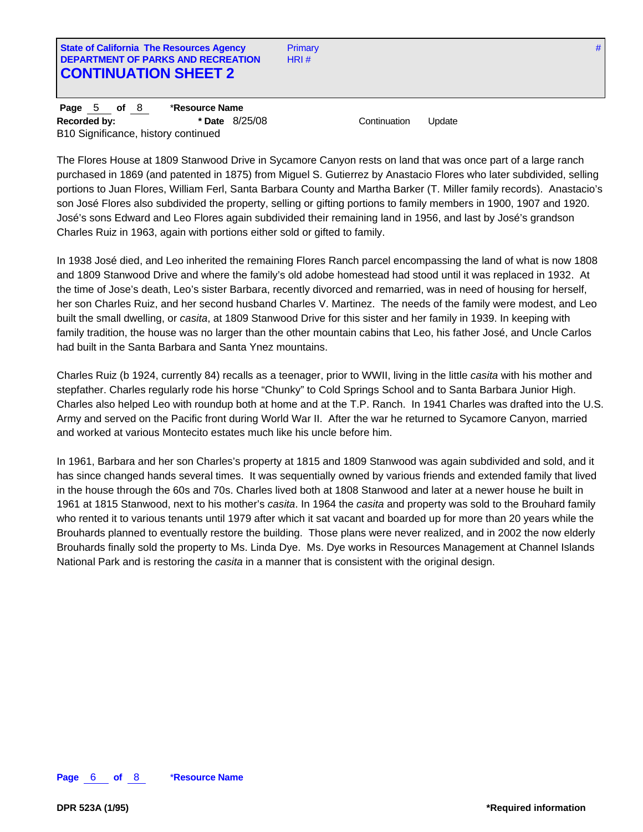**State of California The Resources Agency Primary #** Primary # **Primary #** 2012 12:25 Agency # **#** 2012 2013 2014 2015 2016 2017 2018 2019 2019 2019 2012 2013 2014 2015 2016 2017 2018 2019 2016 2017 2018 2019 2019 2019 2 **DEPARTMENT OF PARKS AND RECREATION** HRI # **CONTINUATION SHEET 2**

**Page** 5 **of** 8 \***Resource Name Recorded by: \* Date** 8/25/08 Continuation Update B10 Significance, history continued

The Flores House at 1809 Stanwood Drive in Sycamore Canyon rests on land that was once part of a large ranch purchased in 1869 (and patented in 1875) from Miguel S. Gutierrez by Anastacio Flores who later subdivided, selling portions to Juan Flores, William Ferl, Santa Barbara County and Martha Barker (T. Miller family records). Anastacio's son José Flores also subdivided the property, selling or gifting portions to family members in 1900, 1907 and 1920. José's sons Edward and Leo Flores again subdivided their remaining land in 1956, and last by José's grandson Charles Ruiz in 1963, again with portions either sold or gifted to family.

In 1938 José died, and Leo inherited the remaining Flores Ranch parcel encompassing the land of what is now 1808 and 1809 Stanwood Drive and where the family's old adobe homestead had stood until it was replaced in 1932. At the time of Jose's death, Leo's sister Barbara, recently divorced and remarried, was in need of housing for herself, her son Charles Ruiz, and her second husband Charles V. Martinez. The needs of the family were modest, and Leo built the small dwelling, or *casita*, at 1809 Stanwood Drive for this sister and her family in 1939. In keeping with family tradition, the house was no larger than the other mountain cabins that Leo, his father José, and Uncle Carlos had built in the Santa Barbara and Santa Ynez mountains.

Charles Ruiz (b 1924, currently 84) recalls as a teenager, prior to WWII, living in the little *casita* with his mother and stepfather. Charles regularly rode his horse "Chunky" to Cold Springs School and to Santa Barbara Junior High. Charles also helped Leo with roundup both at home and at the T.P. Ranch. In 1941 Charles was drafted into the U.S. Army and served on the Pacific front during World War II. After the war he returned to Sycamore Canyon, married and worked at various Montecito estates much like his uncle before him.

In 1961, Barbara and her son Charles's property at 1815 and 1809 Stanwood was again subdivided and sold, and it has since changed hands several times. It was sequentially owned by various friends and extended family that lived in the house through the 60s and 70s. Charles lived both at 1808 Stanwood and later at a newer house he built in 1961 at 1815 Stanwood, next to his mother's *casita*. In 1964 the *casita* and property was sold to the Brouhard family who rented it to various tenants until 1979 after which it sat vacant and boarded up for more than 20 years while the Brouhards planned to eventually restore the building. Those plans were never realized, and in 2002 the now elderly Brouhards finally sold the property to Ms. Linda Dye. Ms. Dye works in Resources Management at Channel Islands National Park and is restoring the *casita* in a manner that is consistent with the original design.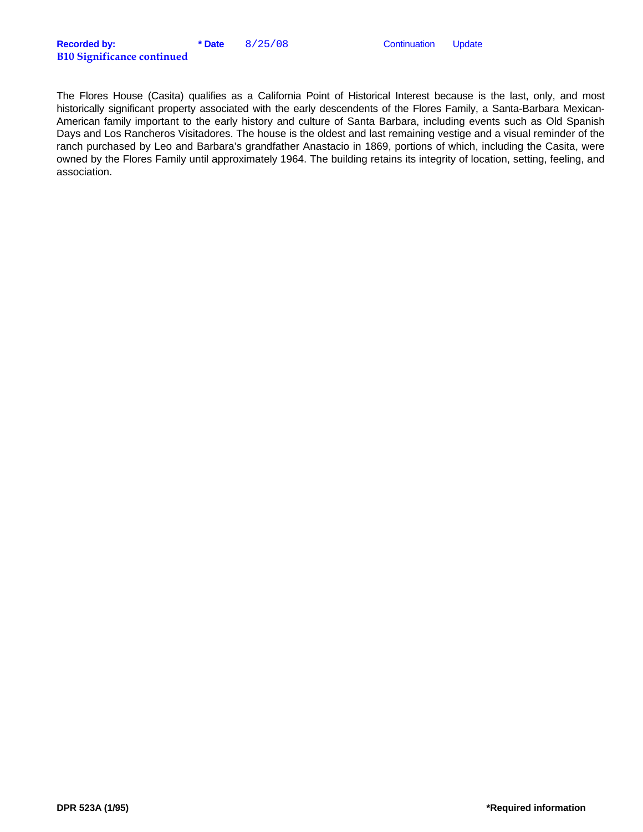The Flores House (Casita) qualifies as a California Point of Historical Interest because is the last, only, and most historically significant property associated with the early descendents of the Flores Family, a Santa-Barbara Mexican-American family important to the early history and culture of Santa Barbara, including events such as Old Spanish Days and Los Rancheros Visitadores. The house is the oldest and last remaining vestige and a visual reminder of the ranch purchased by Leo and Barbara's grandfather Anastacio in 1869, portions of which, including the Casita, were owned by the Flores Family until approximately 1964. The building retains its integrity of location, setting, feeling, and association.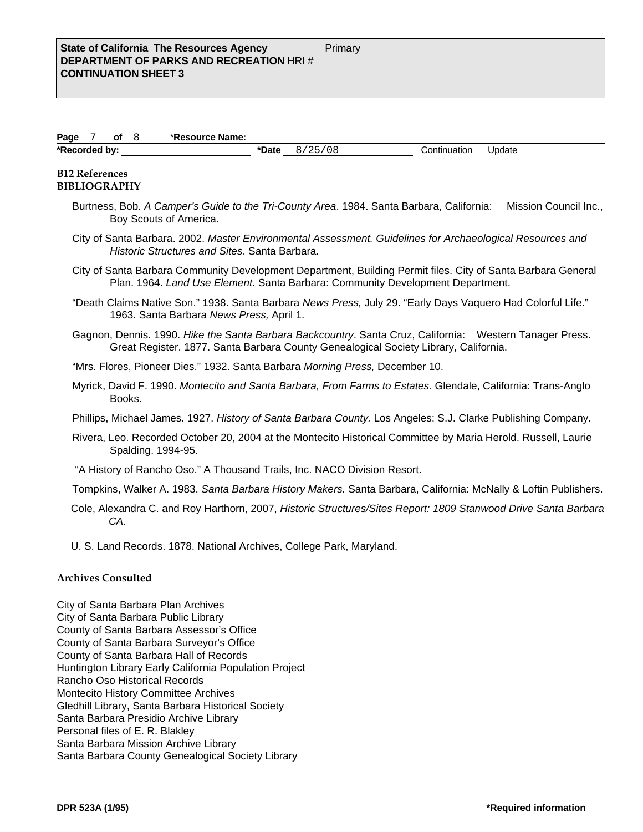| Page          | Οt | *Resource Name: |       |      |              |        |  |
|---------------|----|-----------------|-------|------|--------------|--------|--|
| *Recorded by: |    |                 | *Date | 08 ' | Continuation | Jpdate |  |

## **B12 References BIBLIOGRAPHY**

- Burtness, Bob. *A Camper's Guide to the Tri-County Area*. 1984. Santa Barbara, California: Mission Council Inc., Boy Scouts of America.
- City of Santa Barbara. 2002. *Master Environmental Assessment. Guidelines for Archaeological Resources and Historic Structures and Sites*. Santa Barbara.
- City of Santa Barbara Community Development Department, Building Permit files. City of Santa Barbara General Plan. 1964. *Land Use Element*. Santa Barbara: Community Development Department.
- "Death Claims Native Son." 1938. Santa Barbara *News Press,* July 29. "Early Days Vaquero Had Colorful Life." 1963. Santa Barbara *News Press,* April 1.
- Gagnon, Dennis. 1990. *Hike the Santa Barbara Backcountry*. Santa Cruz, California: Western Tanager Press. Great Register. 1877. Santa Barbara County Genealogical Society Library, California.

"Mrs. Flores, Pioneer Dies." 1932. Santa Barbara *Morning Press,* December 10.

Myrick, David F. 1990. *Montecito and Santa Barbara, From Farms to Estates.* Glendale, California: Trans-Anglo Books.

Phillips, Michael James. 1927. *History of Santa Barbara County.* Los Angeles: S.J. Clarke Publishing Company.

- Rivera, Leo. Recorded October 20, 2004 at the Montecito Historical Committee by Maria Herold. Russell, Laurie Spalding. 1994-95.
- "A History of Rancho Oso." A Thousand Trails, Inc. NACO Division Resort.
- Tompkins, Walker A. 1983. *Santa Barbara History Makers.* Santa Barbara, California: McNally & Loftin Publishers.
- Cole, Alexandra C. and Roy Harthorn, 2007, *Historic Structures/Sites Report: 1809 Stanwood Drive Santa Barbara CA.*
- U. S. Land Records. 1878. National Archives, College Park, Maryland.

# **Archives Consulted**

City of Santa Barbara Plan Archives City of Santa Barbara Public Library County of Santa Barbara Assessor's Office County of Santa Barbara Surveyor's Office County of Santa Barbara Hall of Records Huntington Library Early California Population Project Rancho Oso Historical Records Montecito History Committee Archives Gledhill Library, Santa Barbara Historical Society Santa Barbara Presidio Archive Library Personal files of E. R. Blakley Santa Barbara Mission Archive Library Santa Barbara County Genealogical Society Library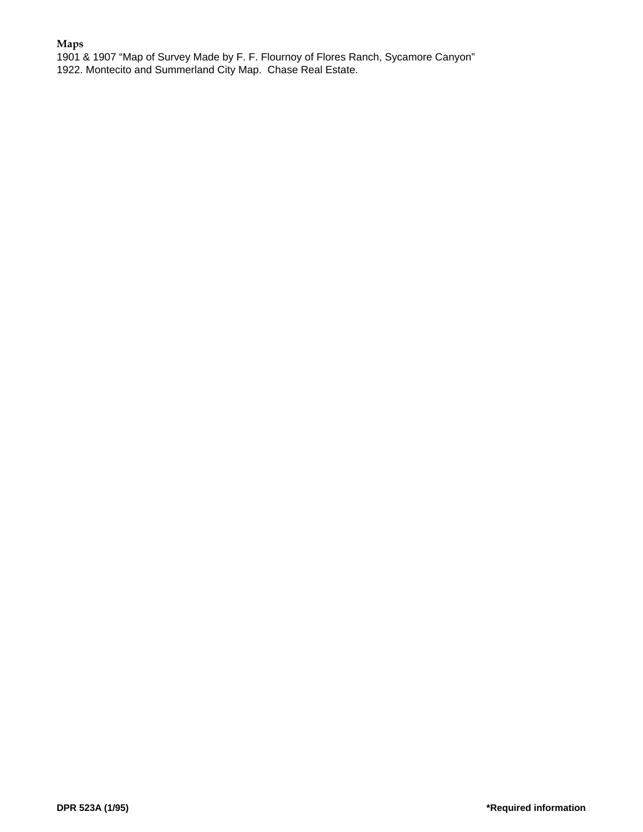# **Maps**

1901 & 1907 "Map of Survey Made by F. F. Flournoy of Flores Ranch, Sycamore Canyon" 1922. Montecito and Summerland City Map. Chase Real Estate.